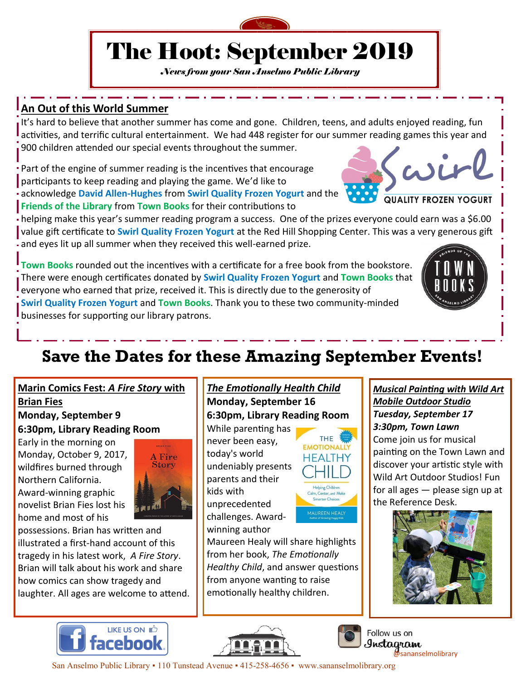

# The Hoot: September 2019

*News from your San Anselmo Public Library*

# **An Out of this World Summer**

It's hard to believe that another summer has come and gone. Children, teens, and adults enjoyed reading, fun activities, and terrific cultural entertainment. We had 448 register for our summer reading games this year and 900 children attended our special events throughout the summer. wir

Part of the engine of summer reading is the incentives that encourage participants to keep reading and playing the game. We'd like to acknowledge **David Allen-Hughes** from **Swirl Quality Frozen Yogurt** and the **Friends of the Library** from **Town Books** for their contributions to

helping make this year's summer reading program a success. One of the prizes everyone could earn was a \$6.00 value gift certificate to **Swirl Quality Frozen Yogurt** at the Red Hill Shopping Center. This was a very generous gift and eyes lit up all summer when they received this well-earned prize.

**Town Books** rounded out the incentives with a certificate for a free book from the bookstore. There were enough certificates donated by **Swirl Quality Frozen Yogurt** and **Town Books** that everyone who earned that prize, received it. This is directly due to the generosity of **Swirl Quality Frozen Yogurt** and **Town Books**. Thank you to these two community-minded businesses for supporting our library patrons.



#### **Marin Comics Fest:** *A Fire Story* **with Brian Fies**

## **Monday, September 9 6:30pm, Library Reading Room**

Early in the morning on Monday, October 9, 2017, wildfires burned through Northern California. Award-winning graphic novelist Brian Fies lost his home and most of his



possessions. Brian has written and illustrated a first-hand account of this tragedy in his latest work, *A Fire Story*. Brian will talk about his work and share how comics can show tragedy and laughter. All ages are welcome to attend.

#### *The Emotionally Health Child* **Monday, September 16 6:30pm, Library Reading Room**

While parenting has never been easy, today's world undeniably presents parents and their kids with unprecedented challenges. Awardwinning author

Maureen Healy will share highlights from her book, *The Emotionally Healthy Child*, and answer questions from anyone wanting to raise emotionally healthy children.





#### *Musical Painting with Wild Art Mobile Outdoor Studio Tuesday, September 17 3:30pm, Town Lawn*

**QUALITY FROZEN YOGURT** 

Come join us for musical painting on the Town Lawn and discover your artistic style with Wild Art Outdoor Studios! Fun for all ages — please sign up at the Reference Desk.









Follow us on Instagram sananselmolibrary

San Anselmo Public Library • 110 Tunstead Avenue • 415-258-4656 • www.sananselmolibrary.org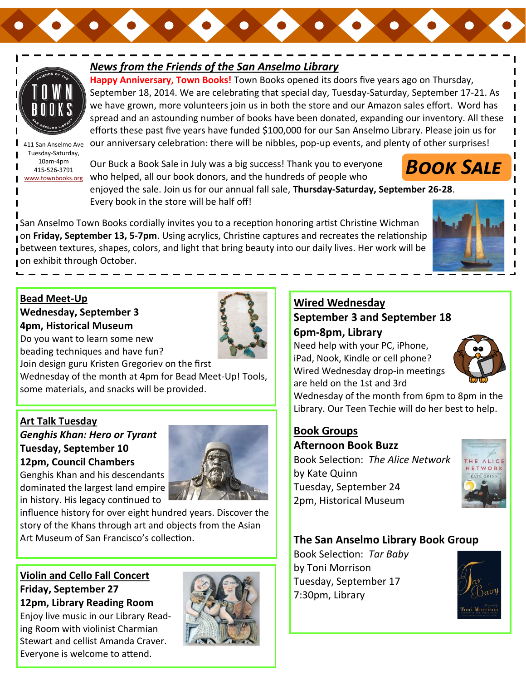

### *News from the Friends of the San Anselmo Library*

**Happy Anniversary, Town Books!** Town Books opened its doors five years ago on Thursday, September 18, 2014. We are celebrating that special day, Tuesday-Saturday, September 17-21. As we have grown, more volunteers join us in both the store and our Amazon sales effort. Word has spread and an astounding number of books have been donated, expanding our inventory. All these efforts these past five years have funded \$100,000 for our San Anselmo Library. Please join us for our anniversary celebration: there will be nibbles, pop-up events, and plenty of other surprises!

411 San Anselmo Ave Tuesday-Saturday, 10am-4pm 415-526-3791 [www.townbooks.org](http://www.townbooks.org/)

Our Buck a Book Sale in July was a big success! Thank you to everyone who helped, all our book donors, and the hundreds of people who

enjoyed the sale. Join us for our annual fall sale, **Thursday-Saturday, September 26-28**. Every book in the store will be half off!

San Anselmo Town Books cordially invites you to a reception honoring artist Christine Wichman on **Friday, September 13, 5-7pm**. Using acrylics, Christine captures and recreates the relationship **p** between textures, shapes, colors, and light that bring beauty into our daily lives. Her work will be on exhibit through October.



*Book Sale*

#### **Bead Meet-Up Wednesday, September 3 4pm, Historical Museum**

Do you want to learn some new



beading techniques and have fun?

Join design guru Kristen Gregoriev on the first Wednesday of the month at 4pm for Bead Meet-Up! Tools, some materials, and snacks will be provided.

#### **Art Talk Tuesday**

*Genghis Khan: Hero or Tyrant* **Tuesday, September 10 12pm, Council Chambers**

Genghis Khan and his descendants dominated the largest land empire in history. His legacy continued to

influence history for over eight hundred years. Discover the story of the Khans through art and objects from the Asian Art Museum of San Francisco's collection.

#### **Violin and Cello Fall Concert Friday, September 27 12pm, Library Reading Room**

Enjoy live music in our Library Reading Room with violinist Charmian Stewart and cellist Amanda Craver. Everyone is welcome to attend.



### **Wired Wednesday September 3 and September 18 6pm-8pm, Library**

Need help with your PC, iPhone, iPad, Nook, Kindle or cell phone? Wired Wednesday drop-in meetings are held on the 1st and 3rd



Wednesday of the month from 6pm to 8pm in the Library. Our Teen Techie will do her best to help.

# **Book Groups**

**Afternoon Book Buzz** Book Selection: *The Alice Network*  by Kate Quinn Tuesday, September 24 2pm, Historical Museum



#### **The San Anselmo Library Book Group**

Book Selection: *Tar Baby* by Toni Morrison Tuesday, September 17 7:30pm, Library